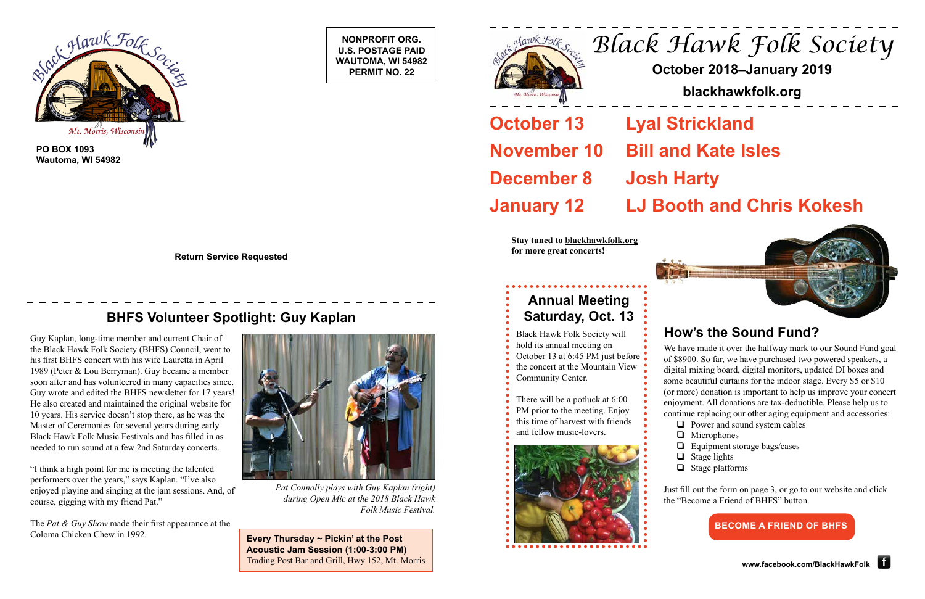**NONPROFIT ORG. U.S. POSTAGE PAID WAUTOMA, WI 54982 PERMIT NO. 22**





**Wautoma, WI 54982**

**Return Service Requested**

# *Black Hawk Folk Society*

**October 13** Lyal Strickland **November 10 Bill and Kate Isles January 12 LJ Booth and Chris Kokesh**

# **October 2018–January 2019**

## **blackhawkfolk.org**

**December 8 Josh Harty**

# **How's the Sound Fund?**

## **BHFS Volunteer Spotlight: Guy Kaplan**

We have made it over the halfway mark to our Sound Fund goal of \$8900. So far, we have purchased two powered speakers, a digital mixing board, digital monitors, updated DI boxes and some beautiful curtains for the indoor stage. Every \$5 or \$10 (or more) donation is important to help us improve your concert enjoyment. All donations are tax-deductible. Please help us to continue replacing our other aging equipment and accessories:

- $\Box$  Power and sound system cables
- **Q** Microphones
- $\Box$  Equipment storage bags/cases
- $\Box$  Stage lights
- $\Box$  Stage platforms

Just fill out the form on page 3, or go to our website and click the "Become a Friend of BHFS" button.



*Pat Connolly plays with Guy Kaplan (right) during Open Mic at the 2018 Black Hawk Folk Music Festival.*

**Stay tuned to blackhawkfolk.org for more great concerts!**



Guy Kaplan, long-time member and current Chair of the Black Hawk Folk Society (BHFS) Council, went to his first BHFS concert with his wife Lauretta in April 1989 (Peter & Lou Berryman). Guy became a member soon after and has volunteered in many capacities since. Guy wrote and edited the BHFS newsletter for 17 years! He also created and maintained the original website for 10 years. His service doesn't stop there, as he was the Master of Ceremonies for several years during early Black Hawk Folk Music Festivals and has filled in as needed to run sound at a few 2nd Saturday concerts.

"I think a high point for me is meeting the talented performers over the years," says Kaplan. "I've also enjoyed playing and singing at the jam sessions. And, of course, gigging with my friend Pat."

The *Pat & Guy Show* made their first appearance at the Coloma Chicken Chew in 1992. **Every Thursday ~ Pickin' at the Post** 

**Acoustic Jam Session (1:00-3:00 PM)** Trading Post Bar and Grill, Hwy 152, Mt. Morris

## **Annual Meeting Saturday, Oct. 13**

Black Hawk Folk Society will hold its annual meeting on October 13 at 6:45 PM just before • the concert at the Mountain View Community Center.

There will be a potluck at 6:00 PM prior to the meeting. Enjoy this time of harvest with friends and fellow music-lovers.



## **BECOME A FRIEND OF BHFS**